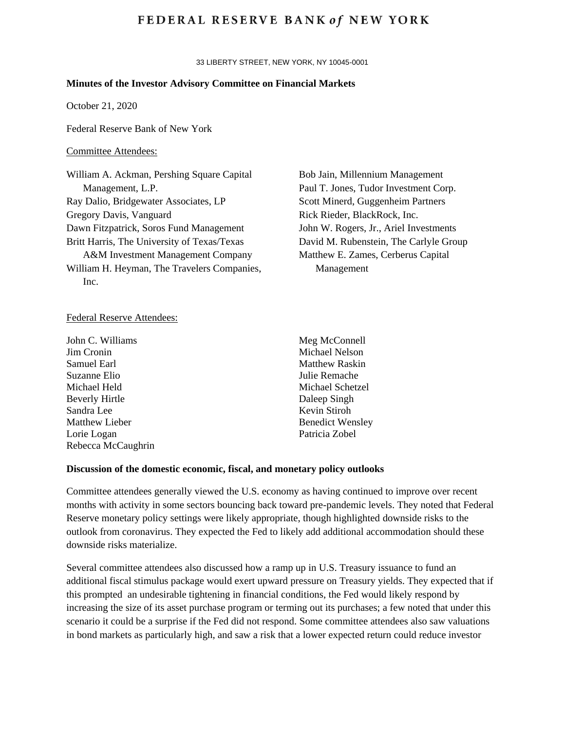## **FEDERAL RESERVE BANK of NEW YORK**

33 LIBERTY STREET, NEW YORK, NY 10045-0001

### **Minutes of the Investor Advisory Committee on Financial Markets**

October 21, 2020

Federal Reserve Bank of New York

## Committee Attendees:

William A. Ackman, Pershing Square Capital Management, L.P. Ray Dalio, Bridgewater Associates, LP Gregory Davis, Vanguard Dawn Fitzpatrick, Soros Fund Management Britt Harris, The University of Texas/Texas A&M Investment Management Company William H. Heyman, The Travelers Companies, Inc.

Bob Jain, Millennium Management Paul T. Jones, Tudor Investment Corp. Scott Minerd, Guggenheim Partners Rick Rieder, BlackRock, Inc. John W. Rogers, Jr., Ariel Investments David M. Rubenstein, The Carlyle Group Matthew E. Zames, Cerberus Capital Management

#### Federal Reserve Attendees:

John C. Williams Jim Cronin Samuel Earl Suzanne Elio Michael Held Beverly Hirtle Sandra Lee Matthew Lieber Lorie Logan Rebecca McCaughrin Meg McConnell Michael Nelson Matthew Raskin Julie Remache Michael Schetzel Daleep Singh Kevin Stiroh Benedict Wensley Patricia Zobel

#### **Discussion of the domestic economic, fiscal, and monetary policy outlooks**

Committee attendees generally viewed the U.S. economy as having continued to improve over recent months with activity in some sectors bouncing back toward pre-pandemic levels. They noted that Federal Reserve monetary policy settings were likely appropriate, though highlighted downside risks to the outlook from coronavirus. They expected the Fed to likely add additional accommodation should these downside risks materialize.

Several committee attendees also discussed how a ramp up in U.S. Treasury issuance to fund an additional fiscal stimulus package would exert upward pressure on Treasury yields. They expected that if this prompted an undesirable tightening in financial conditions, the Fed would likely respond by increasing the size of its asset purchase program or terming out its purchases; a few noted that under this scenario it could be a surprise if the Fed did not respond. Some committee attendees also saw valuations in bond markets as particularly high, and saw a risk that a lower expected return could reduce investor